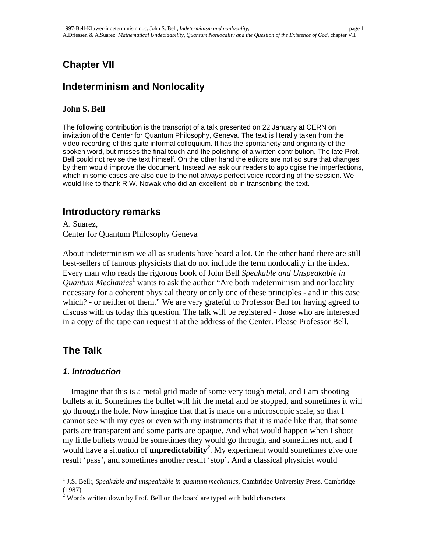# **Chapter VII**

# **Indeterminism and Nonlocality**

#### **John S. Bell**

The following contribution is the transcript of a talk presented on 22 January at CERN on invitation of the Center for Quantum Philosophy, Geneva. The text is literally taken from the video-recording of this quite informal colloquium. It has the spontaneity and originality of the spoken word, but misses the final touch and the polishing of a written contribution. The late Prof. Bell could not revise the text himself. On the other hand the editors are not so sure that changes by them would improve the document. Instead we ask our readers to apologise the imperfections, which in some cases are also due to the not always perfect voice recording of the session. We would like to thank R.W. Nowak who did an excellent job in transcribing the text.

# **Introductory remarks**

A. Suarez, Center for Quantum Philosophy Geneva

About indeterminism we all as students have heard a lot. On the other hand there are still best-sellers of famous physicists that do not include the term nonlocality in the index. Every man who reads the rigorous book of John Bell *Speakable and Unspeakable in*  Quantum Mechanics<sup>1</sup> wants to ask the author "Are both indeterminism and nonlocality necessary for a coherent physical theory or only one of these principles - and in this case which? - or neither of them." We are very grateful to Professor Bell for having agreed to discuss with us today this question. The talk will be registered - those who are interested in a copy of the tape can request it at the address of the Center. Please Professor Bell.

# **The Talk**

 $\overline{a}$ 

### *1. Introduction*

 Imagine that this is a metal grid made of some very tough metal, and I am shooting bullets at it. Sometimes the bullet will hit the metal and be stopped, and sometimes it will go through the hole. Now imagine that that is made on a microscopic scale, so that I cannot see with my eyes or even with my instruments that it is made like that, that some parts are transparent and some parts are opaque. And what would happen when I shoot my little bullets would be sometimes they would go through, and sometimes not, and I would have a situation of **unpredictability***<sup>2</sup>* . My experiment would sometimes give one result 'pass', and sometimes another result 'stop'. And a classical physicist would

<sup>&</sup>lt;sup>1</sup> J.S. Bell:, *Speakable and unspeakable in quantum mechanics*, Cambridge University Press, Cambridge (1987)

 $2$  Words written down by Prof. Bell on the board are typed with bold characters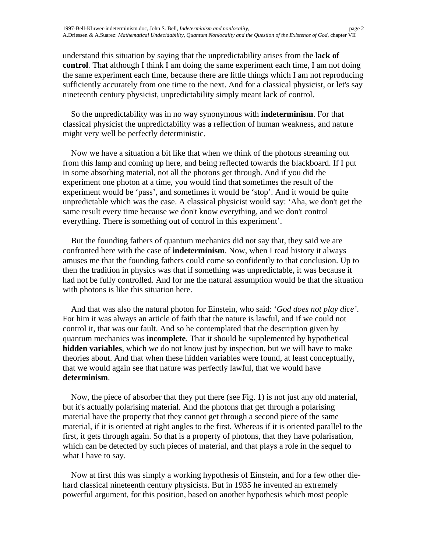understand this situation by saying that the unpredictability arises from the **lack of control***.* That although I think I am doing the same experiment each time, I am not doing the same experiment each time, because there are little things which I am not reproducing sufficiently accurately from one time to the next. And for a classical physicist, or let's say nineteenth century physicist, unpredictability simply meant lack of control.

 So the unpredictability was in no way synonymous with **indeterminism**. For that classical physicist the unpredictability was a reflection of human weakness, and nature might very well be perfectly deterministic.

 Now we have a situation a bit like that when we think of the photons streaming out from this lamp and coming up here, and being reflected towards the blackboard. If I put in some absorbing material, not all the photons get through. And if you did the experiment one photon at a time, you would find that sometimes the result of the experiment would be 'pass', and sometimes it would be 'stop'. And it would be quite unpredictable which was the case. A classical physicist would say: 'Aha, we don't get the same result every time because we don't know everything, and we don't control everything. There is something out of control in this experiment'.

 But the founding fathers of quantum mechanics did not say that, they said we are confronted here with the case of **indeterminism**. Now, when I read history it always amuses me that the founding fathers could come so confidently to that conclusion. Up to then the tradition in physics was that if something was unpredictable, it was because it had not be fully controlled. And for me the natural assumption would be that the situation with photons is like this situation here.

 And that was also the natural photon for Einstein, who said: '*God does not play dice'*. For him it was always an article of faith that the nature is lawful, and if we could not control it, that was our fault. And so he contemplated that the description given by quantum mechanics was **incomplete**. That it should be supplemented by hypothetical **hidden variables**, which we do not know just by inspection, but we will have to make theories about. And that when these hidden variables were found, at least conceptually, that we would again see that nature was perfectly lawful, that we would have **determinism**.

 Now, the piece of absorber that they put there (see Fig. 1) is not just any old material, but it's actually polarising material. And the photons that get through a polarising material have the property that they cannot get through a second piece of the same material, if it is oriented at right angles to the first. Whereas if it is oriented parallel to the first, it gets through again. So that is a property of photons, that they have polarisation, which can be detected by such pieces of material, and that plays a role in the sequel to what I have to say.

 Now at first this was simply a working hypothesis of Einstein, and for a few other diehard classical nineteenth century physicists. But in 1935 he invented an extremely powerful argument, for this position, based on another hypothesis which most people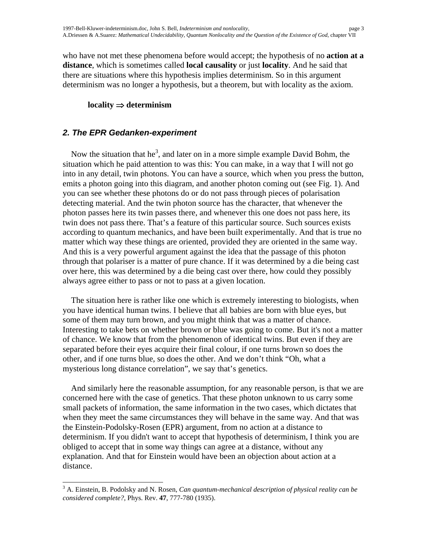who have not met these phenomena before would accept; the hypothesis of no **action at a distance**, which is sometimes called **local causality** or just **locality**. And he said that there are situations where this hypothesis implies determinism. So in this argument determinism was no longer a hypothesis, but a theorem, but with locality as the axiom.

#### **locality** ⇒ **determinism**

#### *2. The EPR Gedanken-experiment*

 $\overline{a}$ 

Now the situation that he<sup>3</sup>, and later on in a more simple example David Bohm, the situation which he paid attention to was this: You can make, in a way that I will not go into in any detail, twin photons. You can have a source, which when you press the button, emits a photon going into this diagram, and another photon coming out (see Fig. 1). And you can see whether these photons do or do not pass through pieces of polarisation detecting material. And the twin photon source has the character, that whenever the photon passes here its twin passes there, and whenever this one does not pass here, its twin does not pass there. That's a feature of this particular source. Such sources exists according to quantum mechanics, and have been built experimentally. And that is true no matter which way these things are oriented, provided they are oriented in the same way. And this is a very powerful argument against the idea that the passage of this photon through that polariser is a matter of pure chance. If it was determined by a die being cast over here, this was determined by a die being cast over there, how could they possibly always agree either to pass or not to pass at a given location.

 The situation here is rather like one which is extremely interesting to biologists, when you have identical human twins. I believe that all babies are born with blue eyes, but some of them may turn brown, and you might think that was a matter of chance. Interesting to take bets on whether brown or blue was going to come. But it's not a matter of chance. We know that from the phenomenon of identical twins. But even if they are separated before their eyes acquire their final colour, if one turns brown so does the other, and if one turns blue, so does the other. And we don't think "Oh, what a mysterious long distance correlation", we say that's genetics.

 And similarly here the reasonable assumption, for any reasonable person, is that we are concerned here with the case of genetics. That these photon unknown to us carry some small packets of information, the same information in the two cases, which dictates that when they meet the same circumstances they will behave in the same way. And that was the Einstein-Podolsky-Rosen (EPR) argument, from no action at a distance to determinism. If you didn't want to accept that hypothesis of determinism, I think you are obliged to accept that in some way things can agree at a distance, without any explanation. And that for Einstein would have been an objection about action at a distance.

<sup>3</sup> A. Einstein, B. Podolsky and N. Rosen, *Can quantum-mechanical description of physical reality can be considered complete?,* Phys. Rev. **47**, 777-780 (1935).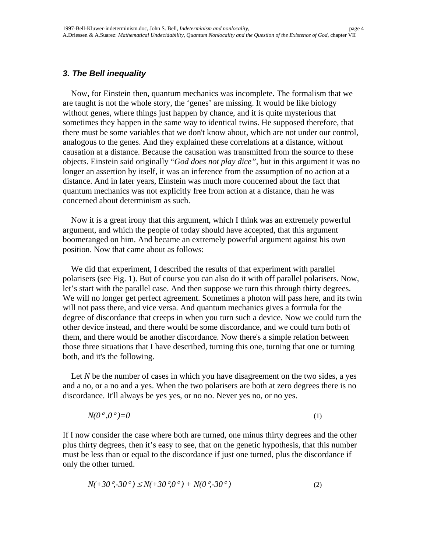#### *3. The Bell inequality*

 Now, for Einstein then, quantum mechanics was incomplete. The formalism that we are taught is not the whole story, the 'genes' are missing. It would be like biology without genes, where things just happen by chance, and it is quite mysterious that sometimes they happen in the same way to identical twins. He supposed therefore, that there must be some variables that we don't know about, which are not under our control, analogous to the genes. And they explained these correlations at a distance, without causation at a distance. Because the causation was transmitted from the source to these objects. Einstein said originally "*God does not play dice"*, but in this argument it was no longer an assertion by itself, it was an inference from the assumption of no action at a distance. And in later years, Einstein was much more concerned about the fact that quantum mechanics was not explicitly free from action at a distance, than he was concerned about determinism as such.

 Now it is a great irony that this argument, which I think was an extremely powerful argument, and which the people of today should have accepted, that this argument boomeranged on him. And became an extremely powerful argument against his own position. Now that came about as follows:

 We did that experiment, I described the results of that experiment with parallel polarisers (see Fig. 1). But of course you can also do it with off parallel polarisers. Now, let's start with the parallel case. And then suppose we turn this through thirty degrees. We will no longer get perfect agreement. Sometimes a photon will pass here, and its twin will not pass there, and vice versa. And quantum mechanics gives a formula for the degree of discordance that creeps in when you turn such a device. Now we could turn the other device instead, and there would be some discordance, and we could turn both of them, and there would be another discordance. Now there's a simple relation between those three situations that I have described, turning this one, turning that one or turning both, and it's the following.

Let *N* be the number of cases in which you have disagreement on the two sides, a yes and a no, or a no and a yes. When the two polarisers are both at zero degrees there is no discordance. It'll always be yes yes, or no no. Never yes no, or no yes.

$$
N(\theta^{\circ}, \theta^{\circ}) = \theta \tag{1}
$$

If I now consider the case where both are turned, one minus thirty degrees and the other plus thirty degrees, then it's easy to see, that on the genetic hypothesis, that this number must be less than or equal to the discordance if just one turned, plus the discordance if only the other turned.

$$
N(+30^{\circ}, -30^{\circ}) \le N(+30^{\circ}, 0^{\circ}) + N(0^{\circ}, -30^{\circ})
$$
 (2)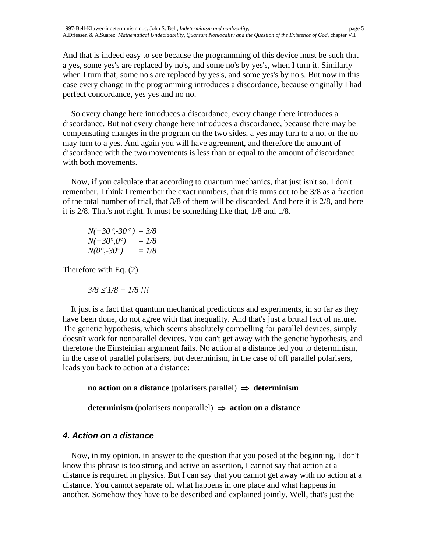And that is indeed easy to see because the programming of this device must be such that a yes, some yes's are replaced by no's, and some no's by yes's, when I turn it. Similarly when I turn that, some no's are replaced by yes's, and some yes's by no's. But now in this case every change in the programming introduces a discordance, because originally I had perfect concordance, yes yes and no no.

 So every change here introduces a discordance, every change there introduces a discordance. But not every change here introduces a discordance, because there may be compensating changes in the program on the two sides, a yes may turn to a no, or the no may turn to a yes. And again you will have agreement, and therefore the amount of discordance with the two movements is less than or equal to the amount of discordance with both movements.

 Now, if you calculate that according to quantum mechanics, that just isn't so. I don't remember, I think I remember the exact numbers, that this turns out to be 3/8 as a fraction of the total number of trial, that 3/8 of them will be discarded. And here it is 2/8, and here it is 2/8. That's not right. It must be something like that, 1/8 and 1/8.

 $N(+30^\circ, -30^\circ) = 3/8$  $N(+30^{\circ},0^{\circ}) = 1/8$  $N(0^{\circ}, -30^{\circ}) = 1/8$ 

Therefore with Eq. (2)

 *3/8* ≤ *1/8 + 1/8 !!!* 

 It just is a fact that quantum mechanical predictions and experiments, in so far as they have been done, do not agree with that inequality. And that's just a brutal fact of nature. The genetic hypothesis, which seems absolutely compelling for parallel devices, simply doesn't work for nonparallel devices. You can't get away with the genetic hypothesis, and therefore the Einsteinian argument fails. No action at a distance led you to determinism, in the case of parallel polarisers, but determinism, in the case of off parallel polarisers, leads you back to action at a distance:

 **no action on a distance** (polarisers parallel)  $\Rightarrow$  **determinism** 

 **determinism** (polarisers nonparallel)⇒ **action on a distance** 

### *4. Action on a distance*

 Now, in my opinion, in answer to the question that you posed at the beginning, I don't know this phrase is too strong and active an assertion, I cannot say that action at a distance is required in physics. But I can say that you cannot get away with no action at a distance. You cannot separate off what happens in one place and what happens in another. Somehow they have to be described and explained jointly. Well, that's just the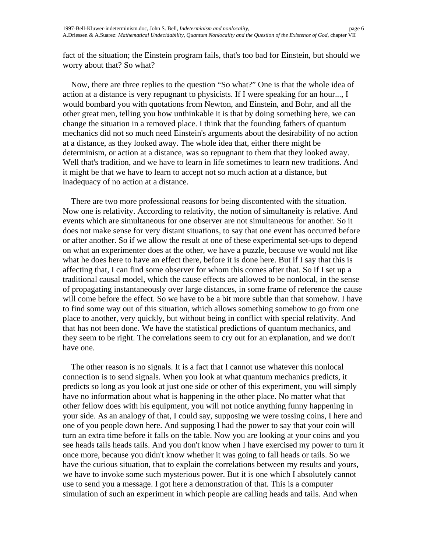fact of the situation; the Einstein program fails, that's too bad for Einstein, but should we worry about that? So what?

 Now, there are three replies to the question "So what?" One is that the whole idea of action at a distance is very repugnant to physicists. If I were speaking for an hour..., I would bombard you with quotations from Newton, and Einstein, and Bohr, and all the other great men, telling you how unthinkable it is that by doing something here, we can change the situation in a removed place. I think that the founding fathers of quantum mechanics did not so much need Einstein's arguments about the desirability of no action at a distance, as they looked away. The whole idea that, either there might be determinism, or action at a distance, was so repugnant to them that they looked away. Well that's tradition, and we have to learn in life sometimes to learn new traditions. And it might be that we have to learn to accept not so much action at a distance, but inadequacy of no action at a distance.

 There are two more professional reasons for being discontented with the situation. Now one is relativity. According to relativity, the notion of simultaneity is relative. And events which are simultaneous for one observer are not simultaneous for another. So it does not make sense for very distant situations, to say that one event has occurred before or after another. So if we allow the result at one of these experimental set-ups to depend on what an experimenter does at the other, we have a puzzle, because we would not like what he does here to have an effect there, before it is done here. But if I say that this is affecting that, I can find some observer for whom this comes after that. So if I set up a traditional causal model, which the cause effects are allowed to be nonlocal, in the sense of propagating instantaneously over large distances, in some frame of reference the cause will come before the effect. So we have to be a bit more subtle than that somehow. I have to find some way out of this situation, which allows something somehow to go from one place to another, very quickly, but without being in conflict with special relativity. And that has not been done. We have the statistical predictions of quantum mechanics, and they seem to be right. The correlations seem to cry out for an explanation, and we don't have one.

 The other reason is no signals. It is a fact that I cannot use whatever this nonlocal connection is to send signals. When you look at what quantum mechanics predicts, it predicts so long as you look at just one side or other of this experiment, you will simply have no information about what is happening in the other place. No matter what that other fellow does with his equipment, you will not notice anything funny happening in your side. As an analogy of that, I could say, supposing we were tossing coins, I here and one of you people down here. And supposing I had the power to say that your coin will turn an extra time before it falls on the table. Now you are looking at your coins and you see heads tails heads tails. And you don't know when I have exercised my power to turn it once more, because you didn't know whether it was going to fall heads or tails. So we have the curious situation, that to explain the correlations between my results and yours, we have to invoke some such mysterious power. But it is one which I absolutely cannot use to send you a message. I got here a demonstration of that. This is a computer simulation of such an experiment in which people are calling heads and tails. And when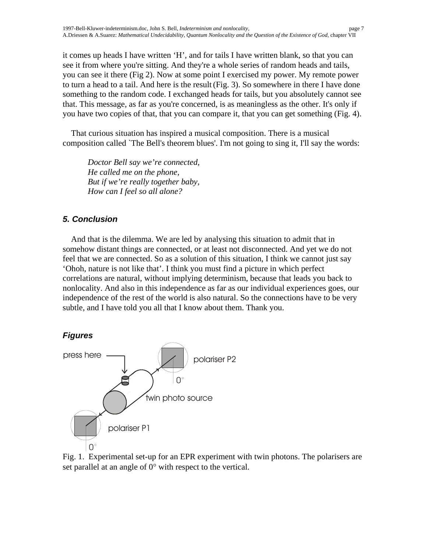it comes up heads I have written 'H', and for tails I have written blank, so that you can see it from where you're sitting. And they're a whole series of random heads and tails, you can see it there (Fig 2). Now at some point I exercised my power. My remote power to turn a head to a tail. And here is the result (Fig. 3). So somewhere in there I have done something to the random code. I exchanged heads for tails, but you absolutely cannot see that. This message, as far as you're concerned, is as meaningless as the other. It's only if you have two copies of that, that you can compare it, that you can get something (Fig. 4).

 That curious situation has inspired a musical composition. There is a musical composition called `The Bell's theorem blues'. I'm not going to sing it, I'll say the words:

 *Doctor Bell say we're connected, He called me on the phone, But if we're really together baby, How can I feel so all alone?* 

### *5. Conclusion*

 And that is the dilemma. We are led by analysing this situation to admit that in somehow distant things are connected, or at least not disconnected. And yet we do not feel that we are connected. So as a solution of this situation, I think we cannot just say 'Ohoh, nature is not like that'. I think you must find a picture in which perfect correlations are natural, without implying determinism, because that leads you back to nonlocality. And also in this independence as far as our individual experiences goes, our independence of the rest of the world is also natural. So the connections have to be very subtle, and I have told you all that I know about them. Thank you.

*Figures* 



Fig. 1. Experimental set-up for an EPR experiment with twin photons. The polarisers are set parallel at an angle of 0° with respect to the vertical.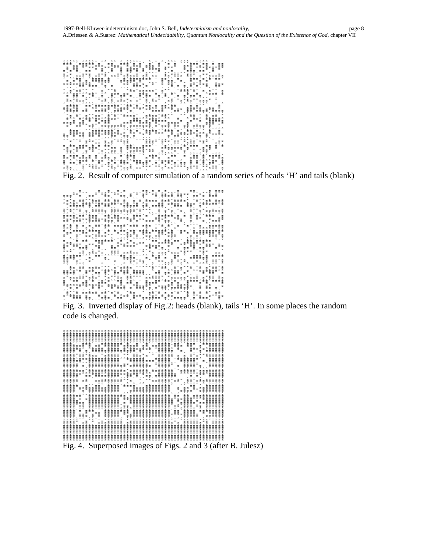Fig. 2. Result of computer simulation of a random series of heads 'H' and tails (blank)<br>
Fig. 2. Result of computer simulation of a random series of heads 'H' and tails (blank)<br>
Fig. 2. Result of computer simulation of a r



Fig. 3. Inverted display of Fig.2: heads (blank), tails 'H'. In some places the random code is changed.

```
Fig. 4. Superposed images of Figs. 2 and 3 (after B. Julesz)<br>
Fig. 4. Superposed images of Figs. 2 and 3 (after B. Julesz)<br>
Fig. 4. Superposed images of Figs. 2 and 3 (after B. Julesz)<br>
Fig. 4. Superposed images of Figs.
```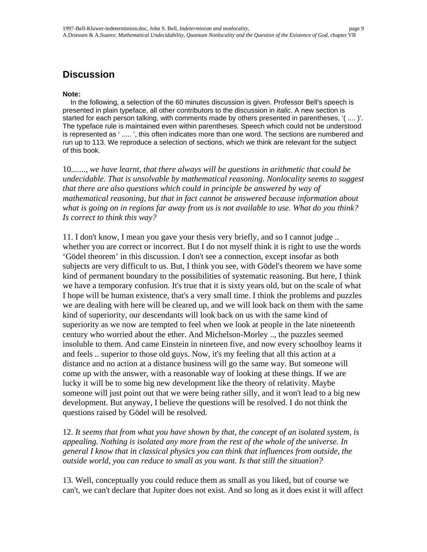# **Discussion**

#### **Note:**

 In the following, a selection of the 60 minutes discussion is given. Professor Bell's speech is presented in plain typeface, all other contributors to the discussion in *italic*. A new section is started for each person talking, with comments made by others presented in parentheses, '( .... )'. The typeface rule is maintained even within parentheses. Speech which could not be understood is represented as ' ..... ', this often indicates more than one word. The sections are numbered and run up to 113. We reproduce a selection of sections, which we think are relevant for the subject of this book.

10.*......, we have learnt, that there always will be questions in arithmetic that could be undecidable. That is unsolvable by mathematical reasoning. Nonlocality seems to suggest that there are also questions which could in principle be answered by way of mathematical reasoning, but that in fact cannot be answered because information about what is going on in regions far away from us is not available to use. What do you think? Is correct to think this way?* 

11. I don't know, I mean you gave your thesis very briefly, and so I cannot judge .. whether you are correct or incorrect. But I do not myself think it is right to use the words 'Gödel theorem' in this discussion. I don't see a connection, except insofar as both subjects are very difficult to us. But, I think you see, with Gödel's theorem we have some kind of permanent boundary to the possibilities of systematic reasoning. But here, I think we have a temporary confusion. It's true that it is sixty years old, but on the scale of what I hope will be human existence, that's a very small time. I think the problems and puzzles we are dealing with here will be cleared up, and we will look back on them with the same kind of superiority, our descendants will look back on us with the same kind of superiority as we now are tempted to feel when we look at people in the late nineteenth century who worried about the ether. And Michelson-Morley .., the puzzles seemed insoluble to them. And came Einstein in nineteen five, and now every schoolboy learns it and feels .. superior to those old guys. Now, it's my feeling that all this action at a distance and no action at a distance business will go the same way. But someone will come up with the answer, with a reasonable way of looking at these things. If we are lucky it will be to some big new development like the theory of relativity. Maybe someone will just point out that we were being rather silly, and it won't lead to a big new development. But anyway, I believe the questions will be resolved. I do not think the questions raised by Gödel will be resolved.

12. *It seems that from what you have shown by that, the concept of an isolated system, is appealing. Nothing is isolated any more from the rest of the whole of the universe. In general I know that in classical physics you can think that influences from outside, the outside world, you can reduce to small as you want. Is that still the situation?* 

13. Well, conceptually you could reduce them as small as you liked, but of course we can't, we can't declare that Jupiter does not exist. And so long as it does exist it will affect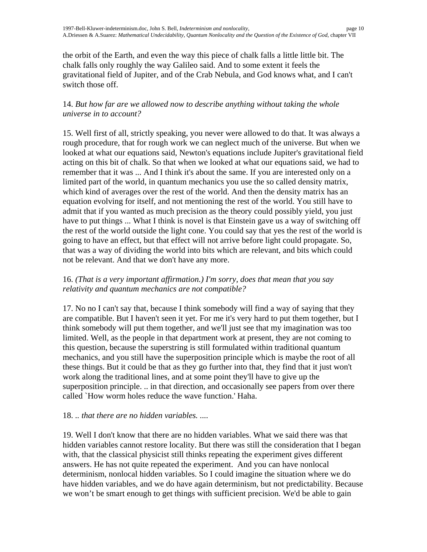the orbit of the Earth, and even the way this piece of chalk falls a little little bit. The chalk falls only roughly the way Galileo said. And to some extent it feels the gravitational field of Jupiter, and of the Crab Nebula, and God knows what, and I can't switch those off.

### 14. *But how far are we allowed now to describe anything without taking the whole universe in to account?*

15. Well first of all, strictly speaking, you never were allowed to do that. It was always a rough procedure, that for rough work we can neglect much of the universe. But when we looked at what our equations said, Newton's equations include Jupiter's gravitational field acting on this bit of chalk. So that when we looked at what our equations said, we had to remember that it was ... And I think it's about the same. If you are interested only on a limited part of the world, in quantum mechanics you use the so called density matrix, which kind of averages over the rest of the world. And then the density matrix has an equation evolving for itself, and not mentioning the rest of the world. You still have to admit that if you wanted as much precision as the theory could possibly yield, you just have to put things ... What I think is novel is that Einstein gave us a way of switching off the rest of the world outside the light cone. You could say that yes the rest of the world is going to have an effect, but that effect will not arrive before light could propagate. So, that was a way of dividing the world into bits which are relevant, and bits which could not be relevant. And that we don't have any more.

### 16. *(That is a very important affirmation.) I'm sorry, does that mean that you say relativity and quantum mechanics are not compatible?*

17. No no I can't say that, because I think somebody will find a way of saying that they are compatible. But I haven't seen it yet. For me it's very hard to put them together, but I think somebody will put them together, and we'll just see that my imagination was too limited. Well, as the people in that department work at present, they are not coming to this question, because the superstring is still formulated within traditional quantum mechanics, and you still have the superposition principle which is maybe the root of all these things. But it could be that as they go further into that, they find that it just won't work along the traditional lines, and at some point they'll have to give up the superposition principle. .. in that direction, and occasionally see papers from over there called `How worm holes reduce the wave function.' Haha.

### 18. *.. that there are no hidden variables. ....*

19. Well I don't know that there are no hidden variables. What we said there was that hidden variables cannot restore locality. But there was still the consideration that I began with, that the classical physicist still thinks repeating the experiment gives different answers. He has not quite repeated the experiment. And you can have nonlocal determinism, nonlocal hidden variables. So I could imagine the situation where we do have hidden variables, and we do have again determinism, but not predictability. Because we won't be smart enough to get things with sufficient precision. We'd be able to gain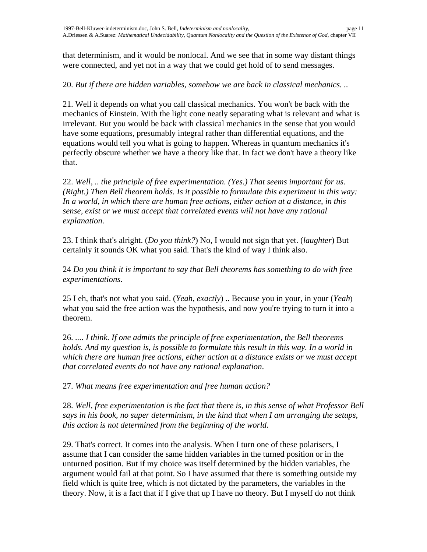that determinism, and it would be nonlocal. And we see that in some way distant things were connected, and yet not in a way that we could get hold of to send messages.

20. *But if there are hidden variables, somehow we are back in classical mechanics. ..* 

21. Well it depends on what you call classical mechanics. You won't be back with the mechanics of Einstein. With the light cone neatly separating what is relevant and what is irrelevant. But you would be back with classical mechanics in the sense that you would have some equations, presumably integral rather than differential equations, and the equations would tell you what is going to happen. Whereas in quantum mechanics it's perfectly obscure whether we have a theory like that. In fact we don't have a theory like that.

22. *Well, .. the principle of free experimentation. (Yes.) That seems important for us. (Right.) Then Bell theorem holds. Is it possible to formulate this experiment in this way: In a world, in which there are human free actions, either action at a distance, in this sense, exist or we must accept that correlated events will not have any rational explanation*.

23. I think that's alright. (*Do you think?*) No, I would not sign that yet. (*laughter*) But certainly it sounds OK what you said. That's the kind of way I think also.

24 *Do you think it is important to say that Bell theorems has something to do with free experimentations*.

25 I eh, that's not what you said. (*Yeah, exactly*) .. Because you in your, in your (*Yeah*) what you said the free action was the hypothesis, and now you're trying to turn it into a theorem.

26. *.... I think. If one admits the principle of free experimentation, the Bell theorems holds. And my question is, is possible to formulate this result in this way. In a world in which there are human free actions, either action at a distance exists or we must accept that correlated events do not have any rational explanation*.

27. *What means free experimentation and free human action?* 

28. *Well, free experimentation is the fact that there is, in this sense of what Professor Bell says in his book, no super determinism, in the kind that when I am arranging the setups, this action is not determined from the beginning of the world.* 

29. That's correct. It comes into the analysis. When I turn one of these polarisers, I assume that I can consider the same hidden variables in the turned position or in the unturned position. But if my choice was itself determined by the hidden variables, the argument would fail at that point. So I have assumed that there is something outside my field which is quite free, which is not dictated by the parameters, the variables in the theory. Now, it is a fact that if I give that up I have no theory. But I myself do not think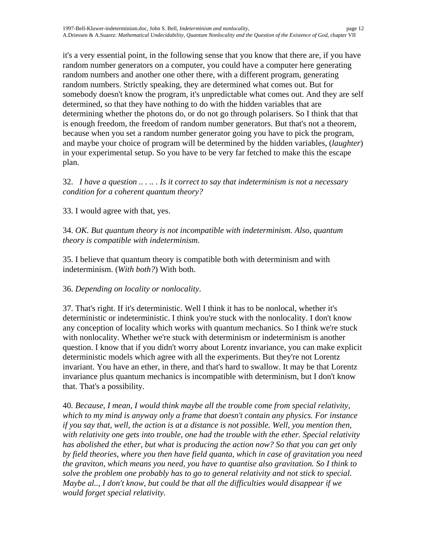it's a very essential point, in the following sense that you know that there are, if you have random number generators on a computer, you could have a computer here generating random numbers and another one other there, with a different program, generating random numbers. Strictly speaking, they are determined what comes out. But for somebody doesn't know the program, it's unpredictable what comes out. And they are self determined, so that they have nothing to do with the hidden variables that are determining whether the photons do, or do not go through polarisers. So I think that that is enough freedom, the freedom of random number generators. But that's not a theorem, because when you set a random number generator going you have to pick the program, and maybe your choice of program will be determined by the hidden variables, (*laughter*) in your experimental setup. So you have to be very far fetched to make this the escape plan.

32. *I have a question .. . .. . Is it correct to say that indeterminism is not a necessary condition for a coherent quantum theory?* 

33. I would agree with that, yes.

34. *OK. But quantum theory is not incompatible with indeterminism. Also, quantum theory is compatible with indeterminism.* 

35. I believe that quantum theory is compatible both with determinism and with indeterminism. (*With both?*) With both.

36. *Depending on locality or nonlocality*.

37. That's right. If it's deterministic. Well I think it has to be nonlocal, whether it's deterministic or indeterministic. I think you're stuck with the nonlocality. I don't know any conception of locality which works with quantum mechanics. So I think we're stuck with nonlocality. Whether we're stuck with determinism or indeterminism is another question. I know that if you didn't worry about Lorentz invariance, you can make explicit deterministic models which agree with all the experiments. But they're not Lorentz invariant. You have an ether, in there, and that's hard to swallow. It may be that Lorentz invariance plus quantum mechanics is incompatible with determinism, but I don't know that. That's a possibility.

40*. Because, I mean, I would think maybe all the trouble come from special relativity, which to my mind is anyway only a frame that doesn't contain any physics. For instance if you say that, well, the action is at a distance is not possible. Well, you mention then, with relativity one gets into trouble, one had the trouble with the ether. Special relativity has abolished the ether, but what is producing the action now? So that you can get only by field theories, where you then have field quanta, which in case of gravitation you need the graviton, which means you need, you have to quantise also gravitation. So I think to solve the problem one probably has to go to general relativity and not stick to special. Maybe al.., I don't know, but could be that all the difficulties would disappear if we would forget special relativity.*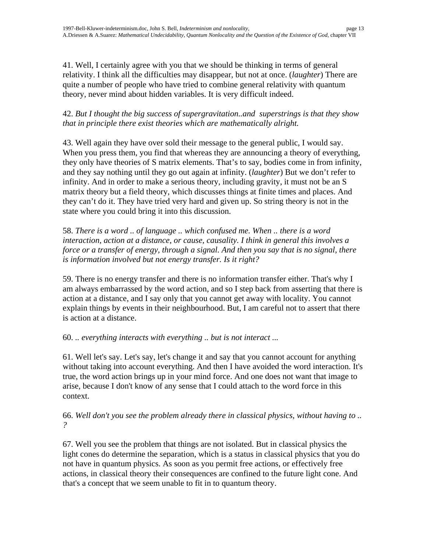41. Well, I certainly agree with you that we should be thinking in terms of general relativity. I think all the difficulties may disappear, but not at once. (*laughter*) There are quite a number of people who have tried to combine general relativity with quantum theory, never mind about hidden variables. It is very difficult indeed.

### 42. *But I thought the big success of supergravitation..and superstrings is that they show that in principle there exist theories which are mathematically alright.*

43. Well again they have over sold their message to the general public, I would say. When you press them, you find that whereas they are announcing a theory of everything, they only have theories of S matrix elements. That's to say, bodies come in from infinity, and they say nothing until they go out again at infinity. (*laughter*) But we don't refer to infinity. And in order to make a serious theory, including gravity, it must not be an S matrix theory but a field theory, which discusses things at finite times and places. And they can't do it. They have tried very hard and given up. So string theory is not in the state where you could bring it into this discussion.

58. *There is a word .. of language .. which confused me. When .. there is a word interaction, action at a distance, or cause, causality. I think in general this involves a force or a transfer of energy, through a signal. And then you say that is no signal, there is information involved but not energy transfer. Is it right?* 

59. There is no energy transfer and there is no information transfer either. That's why I am always embarrassed by the word action, and so I step back from asserting that there is action at a distance, and I say only that you cannot get away with locality. You cannot explain things by events in their neighbourhood. But, I am careful not to assert that there is action at a distance.

### 60. *.. everything interacts with everything .. but is not interact ...*

61. Well let's say. Let's say, let's change it and say that you cannot account for anything without taking into account everything. And then I have avoided the word interaction. It's true, the word action brings up in your mind force. And one does not want that image to arise, because I don't know of any sense that I could attach to the word force in this context.

66. *Well don't you see the problem already there in classical physics, without having to .. ?* 

67. Well you see the problem that things are not isolated. But in classical physics the light cones do determine the separation, which is a status in classical physics that you do not have in quantum physics. As soon as you permit free actions, or effectively free actions, in classical theory their consequences are confined to the future light cone. And that's a concept that we seem unable to fit in to quantum theory.